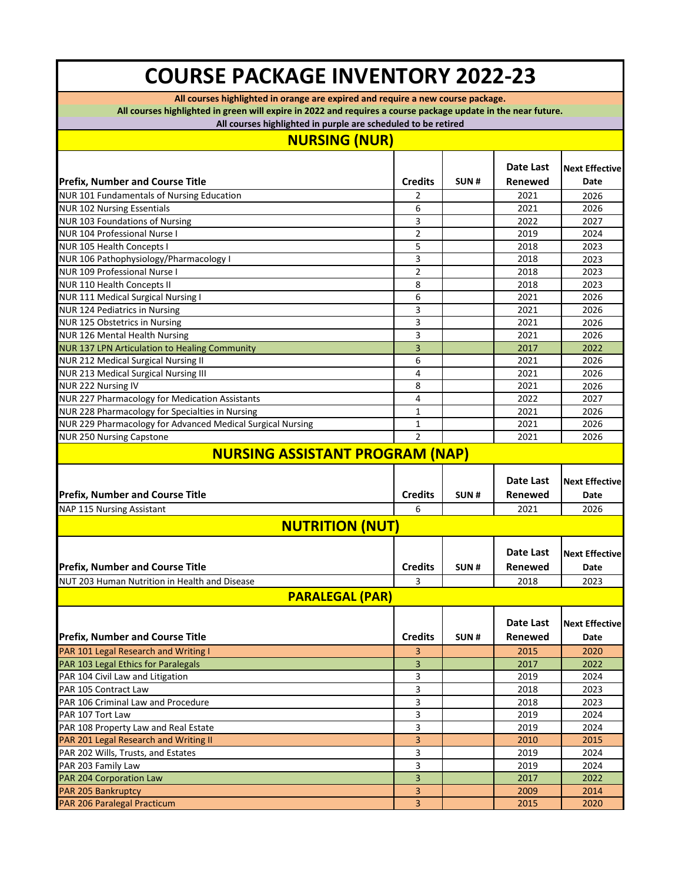## **COURSE PACKAGE INVENTORY 2022-23**

**All courses highlighted in orange are expired and require a new course package.**

**All courses highlighted in green will expire in 2022 and requires a course package update in the near future.**

**All courses highlighted in purple are scheduled to be retired**

| <b>NURSING (NUR)</b>                                                        |                |      |              |                                                        |
|-----------------------------------------------------------------------------|----------------|------|--------------|--------------------------------------------------------|
|                                                                             |                |      | Date Last    | <b>Next Effective</b>                                  |
| <b>Prefix, Number and Course Title</b>                                      | <b>Credits</b> | SUN# | Renewed      | Date                                                   |
| NUR 101 Fundamentals of Nursing Education                                   | 2              |      | 2021         | 2026                                                   |
| <b>NUR 102 Nursing Essentials</b>                                           | 6              |      | 2021         | 2026                                                   |
| NUR 103 Foundations of Nursing                                              | 3              |      | 2022         | 2027                                                   |
| <b>NUR 104 Professional Nurse I</b>                                         | 2              |      | 2019         | 2024                                                   |
| NUR 105 Health Concepts I                                                   | 5              |      | 2018         | 2023                                                   |
| NUR 106 Pathophysiology/Pharmacology I                                      | 3              |      | 2018         | 2023                                                   |
| <b>NUR 109 Professional Nurse I</b>                                         | $\overline{2}$ |      | 2018         | 2023                                                   |
| NUR 110 Health Concepts II                                                  | 8              |      | 2018         | 2023                                                   |
| NUR 111 Medical Surgical Nursing I                                          | 6              |      | 2021         | 2026                                                   |
| NUR 124 Pediatrics in Nursing                                               | 3              |      | 2021         | 2026                                                   |
| NUR 125 Obstetrics in Nursing                                               | 3              |      | 2021         | 2026                                                   |
| NUR 126 Mental Health Nursing                                               | 3              |      | 2021         | 2026                                                   |
| NUR 137 LPN Articulation to Healing Community                               | 3              |      | 2017         | 2022                                                   |
| NUR 212 Medical Surgical Nursing II                                         | 6              |      | 2021         | 2026                                                   |
| NUR 213 Medical Surgical Nursing III                                        | 4              |      | 2021         | 2026                                                   |
| NUR 222 Nursing IV                                                          | 8              |      | 2021         | 2026                                                   |
| NUR 227 Pharmacology for Medication Assistants                              | 4              |      | 2022         | 2027                                                   |
| NUR 228 Pharmacology for Specialties in Nursing                             | $\mathbf{1}$   |      | 2021         | 2026                                                   |
| NUR 229 Pharmacology for Advanced Medical Surgical Nursing                  | 1              |      | 2021         | 2026                                                   |
| <b>NUR 250 Nursing Capstone</b>                                             | $\overline{2}$ |      | 2021         | 2026                                                   |
| <b>NURSING ASSISTANT PROGRAM (NAP)</b>                                      |                |      |              |                                                        |
|                                                                             |                |      |              |                                                        |
|                                                                             |                |      | Date Last    | <b>Next Effective</b>                                  |
|                                                                             | <b>Credits</b> | SUN# | Renewed      | Date                                                   |
| <b>Prefix, Number and Course Title</b>                                      | 6              |      | 2021         | 2026                                                   |
| NAP 115 Nursing Assistant                                                   |                |      |              |                                                        |
| <b>NUTRITION (NUT)</b>                                                      |                |      |              |                                                        |
|                                                                             |                |      | Date Last    |                                                        |
|                                                                             |                |      |              |                                                        |
| <b>Prefix, Number and Course Title</b>                                      | <b>Credits</b> | SUN# | Renewed      | Date                                                   |
| NUT 203 Human Nutrition in Health and Disease                               | 3              |      | 2018         | 2023                                                   |
| <b>PARALEGAL (PAR)</b>                                                      |                |      |              |                                                        |
|                                                                             |                |      | Date Last    |                                                        |
| <b>Prefix, Number and Course Title</b>                                      | <b>Credits</b> | SUN# | Renewed      | Date                                                   |
| PAR 101 Legal Research and Writing I                                        | 3.             |      | 2015         | <b>Next Effective</b><br><b>Next Effective</b><br>2020 |
|                                                                             |                |      |              | 2022                                                   |
| PAR 103 Legal Ethics for Paralegals                                         | 3              |      | 2017         | 2024                                                   |
| PAR 104 Civil Law and Litigation                                            | 3              |      | 2019         |                                                        |
| PAR 105 Contract Law<br>PAR 106 Criminal Law and Procedure                  | 3<br>3         |      | 2018<br>2018 | 2023<br>2023                                           |
| PAR 107 Tort Law                                                            | 3              |      | 2019         | 2024                                                   |
| PAR 108 Property Law and Real Estate                                        | 3              |      | 2019         | 2024                                                   |
|                                                                             | 3              |      | 2010         | 2015                                                   |
| PAR 201 Legal Research and Writing II<br>PAR 202 Wills, Trusts, and Estates | 3              |      | 2019         | 2024                                                   |
| PAR 203 Family Law                                                          | 3              |      | 2019         | 2024                                                   |
| PAR 204 Corporation Law                                                     | 3              |      | 2017         | 2022                                                   |
| PAR 205 Bankruptcy                                                          | 3              |      | 2009         | 2014                                                   |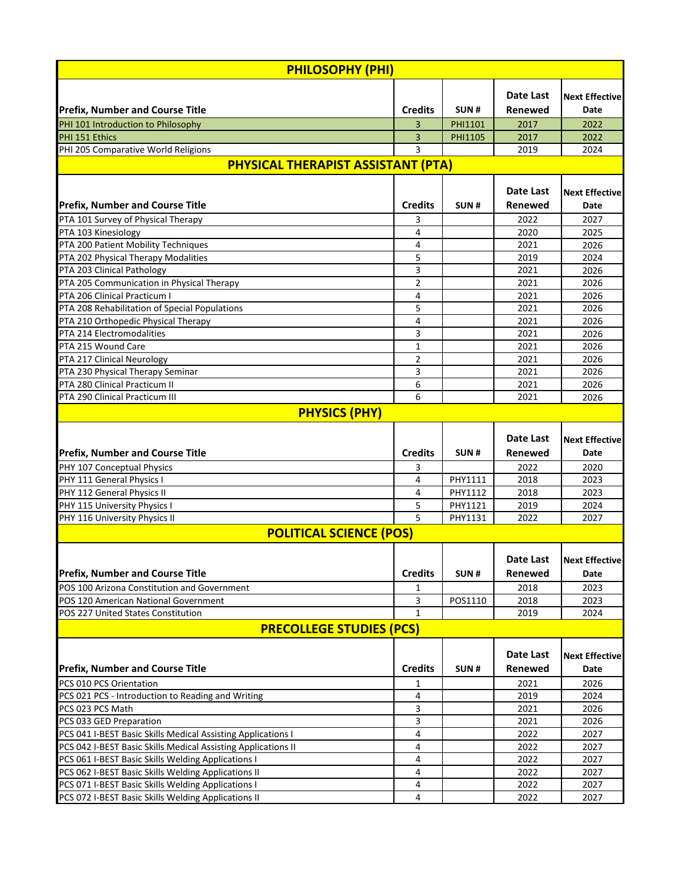| <b>PHILOSOPHY (PHI)</b>                                       |                |                |                  |                       |  |  |  |
|---------------------------------------------------------------|----------------|----------------|------------------|-----------------------|--|--|--|
|                                                               |                |                |                  |                       |  |  |  |
|                                                               |                |                | Date Last        | <b>Next Effective</b> |  |  |  |
| <b>Prefix, Number and Course Title</b>                        | <b>Credits</b> | SUN#           | Renewed          | Date                  |  |  |  |
| PHI 101 Introduction to Philosophy                            | 3              | <b>PHI1101</b> | 2017             | 2022                  |  |  |  |
| PHI 151 Ethics                                                | 3              | PHI1105        | 2017             | 2022                  |  |  |  |
| PHI 205 Comparative World Religions                           | 3              |                | 2019             | 2024                  |  |  |  |
| <b>PHYSICAL THERAPIST ASSISTANT (PTA)</b>                     |                |                |                  |                       |  |  |  |
|                                                               |                |                | Date Last        |                       |  |  |  |
|                                                               |                |                |                  | <b>Next Effective</b> |  |  |  |
| <b>Prefix, Number and Course Title</b>                        | <b>Credits</b> | SUN#           | Renewed          | Date                  |  |  |  |
| PTA 101 Survey of Physical Therapy                            | 3              |                | 2022             | 2027                  |  |  |  |
| PTA 103 Kinesiology                                           | 4              |                | 2020             | 2025                  |  |  |  |
| PTA 200 Patient Mobility Techniques                           | 4              |                | 2021             | 2026                  |  |  |  |
| PTA 202 Physical Therapy Modalities                           | 5              |                | 2019             | 2024                  |  |  |  |
| PTA 203 Clinical Pathology                                    | 3              |                | 2021             | 2026                  |  |  |  |
| PTA 205 Communication in Physical Therapy                     | 2              |                | 2021             | 2026                  |  |  |  |
| PTA 206 Clinical Practicum I                                  | 4              |                | 2021             | 2026                  |  |  |  |
| PTA 208 Rehabilitation of Special Populations                 | 5              |                | 2021             | 2026                  |  |  |  |
| PTA 210 Orthopedic Physical Therapy                           | 4              |                | 2021             | 2026                  |  |  |  |
| PTA 214 Electromodalities                                     | 3              |                | 2021             | 2026                  |  |  |  |
| PTA 215 Wound Care                                            | 1              |                | 2021             | 2026                  |  |  |  |
| PTA 217 Clinical Neurology                                    | 2              |                | 2021             | 2026                  |  |  |  |
| PTA 230 Physical Therapy Seminar                              | 3              |                | 2021             | 2026                  |  |  |  |
| PTA 280 Clinical Practicum II                                 | 6              |                | 2021             | 2026                  |  |  |  |
| PTA 290 Clinical Practicum III                                | 6              |                | 2021             | 2026                  |  |  |  |
| <b>PHYSICS (PHY)</b>                                          |                |                |                  |                       |  |  |  |
|                                                               |                |                |                  |                       |  |  |  |
|                                                               |                |                | Date Last        | <b>Next Effective</b> |  |  |  |
|                                                               |                |                |                  |                       |  |  |  |
|                                                               |                |                |                  |                       |  |  |  |
| <b>Prefix, Number and Course Title</b>                        | <b>Credits</b> | SUN#           | Renewed          | Date                  |  |  |  |
| PHY 107 Conceptual Physics                                    | 3              |                | 2022             | 2020                  |  |  |  |
| PHY 111 General Physics I                                     | 4              | PHY1111        | 2018             | 2023                  |  |  |  |
| PHY 112 General Physics II                                    | 4              | PHY1112        | 2018             | 2023                  |  |  |  |
| PHY 115 University Physics I                                  | 5              | PHY1121        | 2019             | 2024                  |  |  |  |
| PHY 116 University Physics II                                 | 5              | PHY1131        | 2022             | 2027                  |  |  |  |
| <b>POLITICAL SCIENCE (POS)</b>                                |                |                |                  |                       |  |  |  |
|                                                               |                |                |                  |                       |  |  |  |
|                                                               |                |                | <b>Date Last</b> | <b>Next Effective</b> |  |  |  |
| <b>Prefix, Number and Course Title</b>                        | <b>Credits</b> | SUN#           | Renewed          | Date                  |  |  |  |
| POS 100 Arizona Constitution and Government                   | 1              |                | 2018             | 2023                  |  |  |  |
| POS 120 American National Government                          | 3              | POS1110        | 2018             | 2023                  |  |  |  |
| POS 227 United States Constitution                            | $\mathbf{1}$   |                | 2019             | 2024                  |  |  |  |
| <b>PRECOLLEGE STUDIES (PCS)</b>                               |                |                |                  |                       |  |  |  |
|                                                               |                |                |                  |                       |  |  |  |
|                                                               |                |                | Date Last        | <b>Next Effective</b> |  |  |  |
| <b>Prefix, Number and Course Title</b>                        | <b>Credits</b> | SUN#           | Renewed          | Date                  |  |  |  |
| PCS 010 PCS Orientation                                       | 1              |                | 2021             | 2026                  |  |  |  |
| PCS 021 PCS - Introduction to Reading and Writing             | 4              |                | 2019             | 2024                  |  |  |  |
| PCS 023 PCS Math                                              | 3              |                | 2021             | 2026                  |  |  |  |
| PCS 033 GED Preparation                                       | 3              |                | 2021             | 2026                  |  |  |  |
| PCS 041 I-BEST Basic Skills Medical Assisting Applications I  | 4              |                | 2022             | 2027                  |  |  |  |
| PCS 042 I-BEST Basic Skills Medical Assisting Applications II | 4              |                | 2022             | 2027                  |  |  |  |
| PCS 061 I-BEST Basic Skills Welding Applications I            | 4              |                | 2022             | 2027                  |  |  |  |
| PCS 062 I-BEST Basic Skills Welding Applications II           | 4              |                | 2022             | 2027                  |  |  |  |
| PCS 071 I-BEST Basic Skills Welding Applications I            | 4              |                | 2022             | 2027                  |  |  |  |